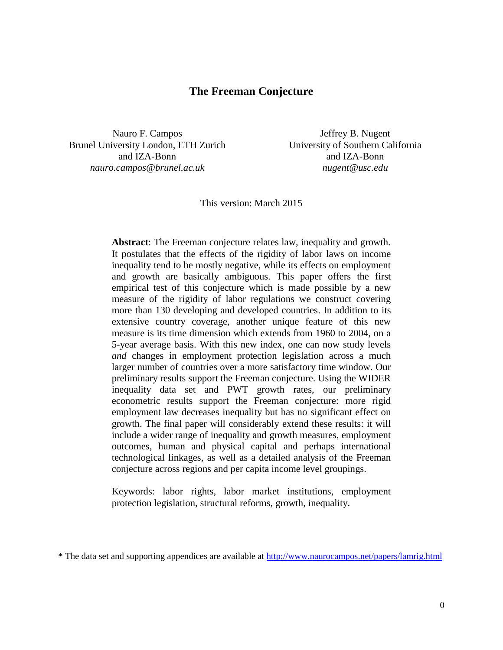# **The Freeman Conjecture**

Nauro F. Campos Brunel University London, ETH Zurich and IZA-Bonn *nauro.campos@brunel.ac.uk*

Jeffrey B. Nugent University of Southern California and IZA-Bonn *nugent@usc.edu*

This version: March 2015

**Abstract**: The Freeman conjecture relates law, inequality and growth. It postulates that the effects of the rigidity of labor laws on income inequality tend to be mostly negative, while its effects on employment and growth are basically ambiguous. This paper offers the first empirical test of this conjecture which is made possible by a new measure of the rigidity of labor regulations we construct covering more than 130 developing and developed countries. In addition to its extensive country coverage, another unique feature of this new measure is its time dimension which extends from 1960 to 2004, on a 5-year average basis. With this new index, one can now study levels *and* changes in employment protection legislation across a much larger number of countries over a more satisfactory time window. Our preliminary results support the Freeman conjecture. Using the WIDER inequality data set and PWT growth rates, our preliminary econometric results support the Freeman conjecture: more rigid employment law decreases inequality but has no significant effect on growth. The final paper will considerably extend these results: it will include a wider range of inequality and growth measures, employment outcomes, human and physical capital and perhaps international technological linkages, as well as a detailed analysis of the Freeman conjecture across regions and per capita income level groupings.

Keywords: labor rights, labor market institutions, employment protection legislation, structural reforms, growth, inequality.

<sup>\*</sup> The data set and supporting appendices are available at<http://www.naurocampos.net/papers/lamrig.html>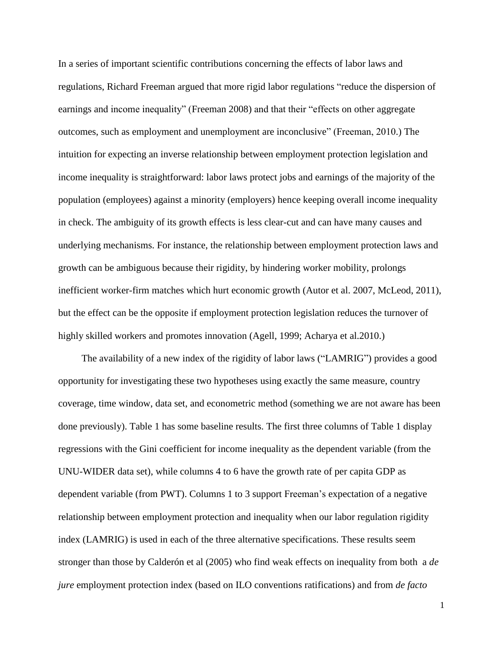In a series of important scientific contributions concerning the effects of labor laws and regulations, Richard Freeman argued that more rigid labor regulations "reduce the dispersion of earnings and income inequality" (Freeman 2008) and that their "effects on other aggregate outcomes, such as employment and unemployment are inconclusive" (Freeman, 2010.) The intuition for expecting an inverse relationship between employment protection legislation and income inequality is straightforward: labor laws protect jobs and earnings of the majority of the population (employees) against a minority (employers) hence keeping overall income inequality in check. The ambiguity of its growth effects is less clear-cut and can have many causes and underlying mechanisms. For instance, the relationship between employment protection laws and growth can be ambiguous because their rigidity, by hindering worker mobility, prolongs inefficient worker-firm matches which hurt economic growth (Autor et al. 2007, McLeod, 2011), but the effect can be the opposite if employment protection legislation reduces the turnover of highly skilled workers and promotes innovation (Agell, 1999; Acharya et al.2010.)

The availability of a new index of the rigidity of labor laws ("LAMRIG") provides a good opportunity for investigating these two hypotheses using exactly the same measure, country coverage, time window, data set, and econometric method (something we are not aware has been done previously). Table 1 has some baseline results. The first three columns of Table 1 display regressions with the Gini coefficient for income inequality as the dependent variable (from the UNU-WIDER data set), while columns 4 to 6 have the growth rate of per capita GDP as dependent variable (from PWT). Columns 1 to 3 support Freeman's expectation of a negative relationship between employment protection and inequality when our labor regulation rigidity index (LAMRIG) is used in each of the three alternative specifications. These results seem stronger than those by Calderón et al (2005) who find weak effects on inequality from both a *de jure* employment protection index (based on ILO conventions ratifications) and from *de facto*

1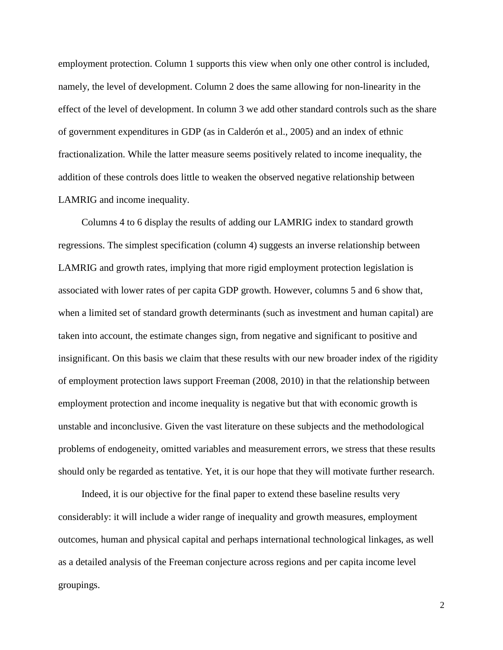employment protection. Column 1 supports this view when only one other control is included, namely, the level of development. Column 2 does the same allowing for non-linearity in the effect of the level of development. In column 3 we add other standard controls such as the share of government expenditures in GDP (as in Calderón et al., 2005) and an index of ethnic fractionalization. While the latter measure seems positively related to income inequality, the addition of these controls does little to weaken the observed negative relationship between LAMRIG and income inequality.

Columns 4 to 6 display the results of adding our LAMRIG index to standard growth regressions. The simplest specification (column 4) suggests an inverse relationship between LAMRIG and growth rates, implying that more rigid employment protection legislation is associated with lower rates of per capita GDP growth. However, columns 5 and 6 show that, when a limited set of standard growth determinants (such as investment and human capital) are taken into account, the estimate changes sign, from negative and significant to positive and insignificant. On this basis we claim that these results with our new broader index of the rigidity of employment protection laws support Freeman (2008, 2010) in that the relationship between employment protection and income inequality is negative but that with economic growth is unstable and inconclusive. Given the vast literature on these subjects and the methodological problems of endogeneity, omitted variables and measurement errors, we stress that these results should only be regarded as tentative. Yet, it is our hope that they will motivate further research.

Indeed, it is our objective for the final paper to extend these baseline results very considerably: it will include a wider range of inequality and growth measures, employment outcomes, human and physical capital and perhaps international technological linkages, as well as a detailed analysis of the Freeman conjecture across regions and per capita income level groupings.

2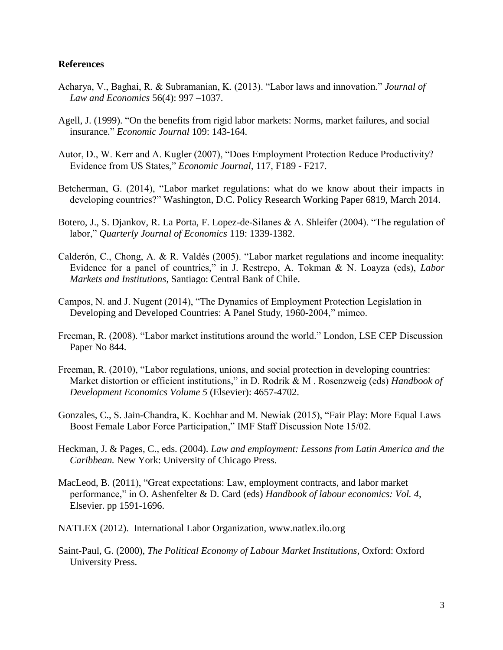#### **References**

- Acharya, V., Baghai, R. & Subramanian, K. (2013). "Labor laws and innovation." *Journal of Law and Economics* 56(4): 997 –1037.
- Agell, J. (1999). "On the benefits from rigid labor markets: Norms, market failures, and social insurance." *Economic Journal* 109: 143-164.
- Autor, D., W. Kerr and A. Kugler (2007), "Does Employment Protection Reduce Productivity? Evidence from US States," *Economic Journal,* 117, F189 - F217.
- Betcherman, G. (2014), "Labor market regulations: what do we know about their impacts in developing countries?" Washington, D.C. Policy Research Working Paper 6819, March 2014.
- Botero, J., S. Djankov, R. La Porta, F. Lopez-de-Silanes & A. Shleifer (2004). "The regulation of labor," *Quarterly Journal of Economics* 119: 1339-1382.
- Calderón, C., Chong, A. & R. Valdés (2005). "Labor market regulations and income inequality: Evidence for a panel of countries," in J. Restrepo, A. Tokman & N. Loayza (eds), *Labor Markets and Institutions*, Santiago: Central Bank of Chile.
- Campos, N. and J. Nugent (2014), "The Dynamics of Employment Protection Legislation in Developing and Developed Countries: A Panel Study, 1960-2004," mimeo.
- Freeman, R. (2008). "Labor market institutions around the world." London, LSE CEP Discussion Paper No 844.
- Freeman, R. (2010), "Labor regulations, unions, and social protection in developing countries: Market distortion or efficient institutions," in D. Rodrik & M . Rosenzweig (eds) *Handbook of Development Economics Volume 5* (Elsevier): 4657-4702.
- Gonzales, C., S. Jain-Chandra, K. Kochhar and M. Newiak (2015), "Fair Play: More Equal Laws Boost Female Labor Force Participation," IMF Staff Discussion Note 15/02.
- Heckman, J. & Pages, C., eds. (2004). *Law and employment: Lessons from Latin America and the Caribbean.* New York: University of Chicago Press.
- MacLeod, B. (2011), "Great expectations: Law, employment contracts, and labor market performance," in O. Ashenfelter & D. Card (eds) *Handbook of labour economics: Vol. 4*, Elsevier. pp 1591-1696.
- NATLEX (2012). International Labor Organization, www.natlex.ilo.org
- Saint-Paul, G. (2000), *The Political Economy of Labour Market Institutions*, Oxford: Oxford University Press.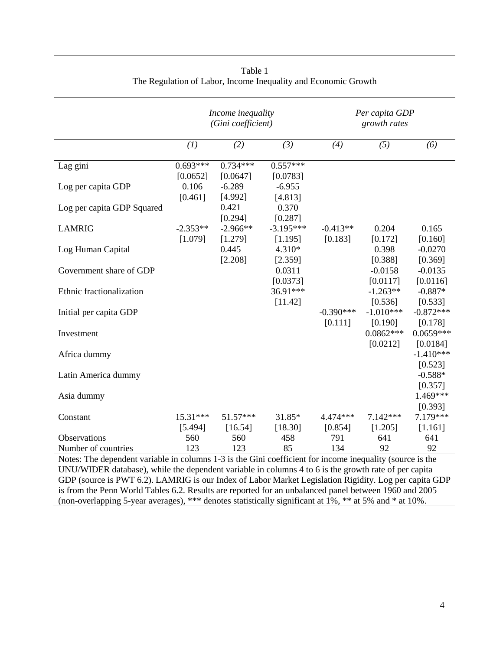|                                                                                                                                                                                                                   | Income inequality<br>(Gini coefficient) |                        |                        | Per capita GDP<br>growth rates |                                       |                                       |  |
|-------------------------------------------------------------------------------------------------------------------------------------------------------------------------------------------------------------------|-----------------------------------------|------------------------|------------------------|--------------------------------|---------------------------------------|---------------------------------------|--|
|                                                                                                                                                                                                                   | (1)                                     | (2)                    | (3)                    | (4)                            | (5)                                   | (6)                                   |  |
| Lag gini                                                                                                                                                                                                          | $0.693***$<br>[0.0652]                  | $0.734***$<br>[0.0647] | $0.557***$<br>[0.0783] |                                |                                       |                                       |  |
| Log per capita GDP                                                                                                                                                                                                | 0.106<br>[0.461]                        | $-6.289$<br>[4.992]    | $-6.955$<br>[4.813]    |                                |                                       |                                       |  |
| Log per capita GDP Squared                                                                                                                                                                                        |                                         | 0.421<br>[0.294]       | 0.370<br>[0.287]       |                                |                                       |                                       |  |
| <b>LAMRIG</b>                                                                                                                                                                                                     | $-2.353**$<br>[1.079]                   | $-2.966**$<br>[1.279]  | $-3.195***$<br>[1.195] | $-0.413**$<br>[0.183]          | 0.204<br>[0.172]                      | 0.165<br>[0.160]                      |  |
| Log Human Capital                                                                                                                                                                                                 |                                         | 0.445<br>[2.208]       | 4.310*<br>[2.359]      |                                | 0.398<br>[0.388]                      | $-0.0270$<br>[0.369]                  |  |
| Government share of GDP                                                                                                                                                                                           |                                         |                        | 0.0311<br>[0.0373]     |                                | $-0.0158$<br>[0.0117]                 | $-0.0135$<br>[0.0116]                 |  |
| Ethnic fractionalization                                                                                                                                                                                          |                                         |                        | 36.91***<br>[11.42]    |                                | $-1.263**$<br>[0.536]                 | $-0.887*$<br>[0.533]                  |  |
| Initial per capita GDP                                                                                                                                                                                            |                                         |                        |                        | $-0.390***$<br>[0.111]         | $-1.010***$<br>[0.190]<br>$0.0862***$ | $-0.872***$<br>[0.178]<br>$0.0659***$ |  |
| Investment                                                                                                                                                                                                        |                                         |                        |                        |                                | [0.0212]                              | [0.0184]<br>$-1.410***$               |  |
| Africa dummy<br>Latin America dummy                                                                                                                                                                               |                                         |                        |                        |                                |                                       | [0.523]<br>$-0.588*$                  |  |
| Asia dummy                                                                                                                                                                                                        |                                         |                        |                        |                                |                                       | [0.357]<br>1.469***                   |  |
|                                                                                                                                                                                                                   |                                         |                        |                        |                                |                                       | [0.393]                               |  |
| Constant                                                                                                                                                                                                          | $15.31***$<br>[5.494]                   | $51.57***$<br>[16.54]  | 31.85*<br>[18.30]      | 4.474***<br>[0.854]            | $7.142***$<br>[1.205]                 | 7.179***<br>[1.161]                   |  |
| Observations                                                                                                                                                                                                      | 560<br>123                              | 560<br>123             | 458<br>85              | 791<br>134                     | 641<br>92                             | 641<br>92                             |  |
| Number of countries                                                                                                                                                                                               |                                         |                        |                        |                                |                                       |                                       |  |
| Notes: The dependent variable in columns 1-3 is the Gini coefficient for income inequality (source is the<br>UNU/WIDER database), while the dependent variable in columns 4 to 6 is the growth rate of per capita |                                         |                        |                        |                                |                                       |                                       |  |

| Table 1                                                        |  |
|----------------------------------------------------------------|--|
| The Regulation of Labor, Income Inequality and Economic Growth |  |

GDP (source is PWT 6.2). LAMRIG is our Index of Labor Market Legislation Rigidity. Log per capita GDP is from the Penn World Tables 6.2. Results are reported for an unbalanced panel between 1960 and 2005 (non-overlapping 5-year averages), \*\*\* denotes statistically significant at 1%, \*\* at 5% and \* at 10%.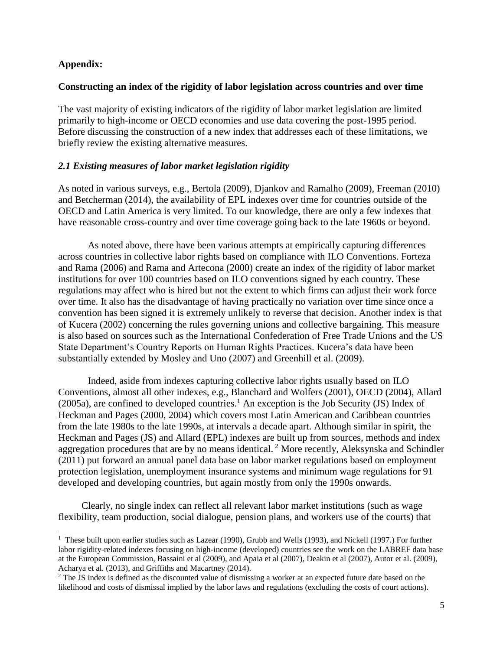### **Appendix:**

l

#### **Constructing an index of the rigidity of labor legislation across countries and over time**

The vast majority of existing indicators of the rigidity of labor market legislation are limited primarily to high-income or OECD economies and use data covering the post-1995 period. Before discussing the construction of a new index that addresses each of these limitations, we briefly review the existing alternative measures.

#### *2.1 Existing measures of labor market legislation rigidity*

As noted in various surveys, e.g., Bertola (2009), Djankov and Ramalho (2009), Freeman (2010) and Betcherman (2014), the availability of EPL indexes over time for countries outside of the OECD and Latin America is very limited. To our knowledge, there are only a few indexes that have reasonable cross-country and over time coverage going back to the late 1960s or beyond.

As noted above, there have been various attempts at empirically capturing differences across countries in collective labor rights based on compliance with ILO Conventions. Forteza and Rama (2006) and Rama and Artecona (2000) create an index of the rigidity of labor market institutions for over 100 countries based on ILO conventions signed by each country. These regulations may affect who is hired but not the extent to which firms can adjust their work force over time. It also has the disadvantage of having practically no variation over time since once a convention has been signed it is extremely unlikely to reverse that decision. Another index is that of Kucera (2002) concerning the rules governing unions and collective bargaining. This measure is also based on sources such as the International Confederation of Free Trade Unions and the US State Department's Country Reports on Human Rights Practices. Kucera's data have been substantially extended by Mosley and Uno (2007) and Greenhill et al. (2009).

Indeed, aside from indexes capturing collective labor rights usually based on ILO Conventions, almost all other indexes, e.g., Blanchard and Wolfers (2001), OECD (2004), Allard (2005a), are confined to developed countries.<sup>1</sup> An exception is the Job Security (JS) Index of Heckman and Pages (2000, 2004) which covers most Latin American and Caribbean countries from the late 1980s to the late 1990s, at intervals a decade apart. Although similar in spirit, the Heckman and Pages (JS) and Allard (EPL) indexes are built up from sources, methods and index aggregation procedures that are by no means identical.<sup>2</sup> More recently, Aleksynska and Schindler (2011) put forward an annual panel data base on labor market regulations based on employment protection legislation, unemployment insurance systems and minimum wage regulations for 91 developed and developing countries, but again mostly from only the 1990s onwards.

Clearly, no single index can reflect all relevant labor market institutions (such as wage flexibility, team production, social dialogue, pension plans, and workers use of the courts) that

<sup>&</sup>lt;sup>1</sup> These built upon earlier studies such as Lazear (1990), Grubb and Wells (1993), and Nickell (1997.) For further labor rigidity-related indexes focusing on high-income (developed) countries see the work on the LABREF data base at the European Commission, Bassaini et al (2009), and Apaia et al (2007), Deakin et al (2007), Autor et al. (2009), Acharya et al. (2013), and Griffiths and Macartney (2014).

<sup>&</sup>lt;sup>2</sup> The JS index is defined as the discounted value of dismissing a worker at an expected future date based on the likelihood and costs of dismissal implied by the labor laws and regulations (excluding the costs of court actions).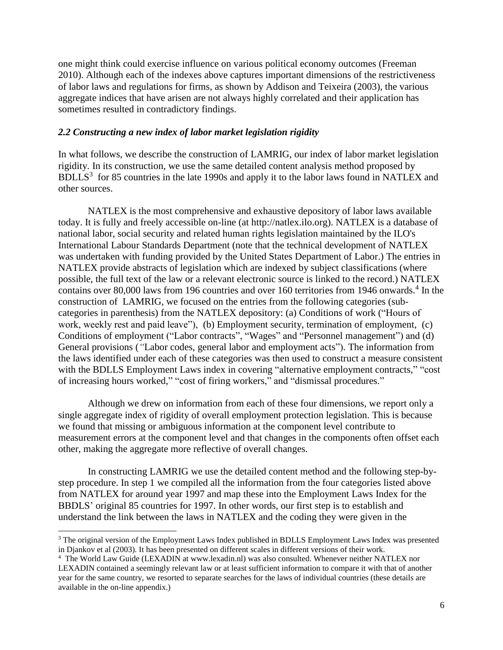one might think could exercise influence on various political economy outcomes (Freeman 2010). Although each of the indexes above captures important dimensions of the restrictiveness of labor laws and regulations for firms, as shown by Addison and Teixeira (2003), the various aggregate indices that have arisen are not always highly correlated and their application has sometimes resulted in contradictory findings.

### *2.2 Constructing a new index of labor market legislation rigidity*

In what follows, we describe the construction of LAMRIG, our index of labor market legislation rigidity. In its construction, we use the same detailed content analysis method proposed by  $BDLLS<sup>3</sup>$  for 85 countries in the late 1990s and apply it to the labor laws found in NATLEX and other sources.

NATLEX is the most comprehensive and exhaustive depository of labor laws available today. It is fully and freely accessible on-line (at http://natlex.ilo.org). NATLEX is a database of national labor, social security and related human rights legislation maintained by the ILO's International Labour Standards Department (note that the technical development of NATLEX was undertaken with funding provided by the United States Department of Labor.) The entries in NATLEX provide abstracts of legislation which are indexed by subject classifications (where possible, the full text of the law or a relevant electronic source is linked to the record.) NATLEX contains over 80,000 laws from 196 countries and over 160 territories from 1946 onwards.<sup>4</sup> In the construction of LAMRIG, we focused on the entries from the following categories (subcategories in parenthesis) from the NATLEX depository: (a) Conditions of work ("Hours of work, weekly rest and paid leave"), (b) [Employment security, termination of employment,](http://www.ilo.org/dyn/natlex/natlex_browse.subject?p_lang=en&p_classification=10) (c) [Conditions of employment](http://www.ilo.org/dyn/natlex/natlex_browse.subject?p_lang=en&p_classification=12) ("Labor [contracts"](http://www.ilo.org/dyn/natlex/natlex_browse.subject?p_lang=en&p_classification=12.01), ["Wages"](http://www.ilo.org/dyn/natlex/natlex_browse.subject?p_lang=en&p_classification=12.02) and ["Personnel management"](http://www.ilo.org/dyn/natlex/natlex_browse.subject?p_lang=en&p_classification=12.03)) and (d) [General provisions](http://www.ilo.org/dyn/natlex/natlex_browse.subject?p_lang=en&p_classification=01) (*"*Labor codes, general labor [and employment acts"](http://www.ilo.org/dyn/natlex/natlex_browse.subject?p_lang=en&p_classification=01.02)). The information from the laws identified under each of these categories was then used to construct a measure consistent with the BDLLS Employment Laws index in covering "alternative employment contracts," "cost of increasing hours worked," "cost of firing workers," and "dismissal procedures."

Although we drew on information from each of these four dimensions, we report only a single aggregate index of rigidity of overall employment protection legislation. This is because we found that missing or ambiguous information at the component level contribute to measurement errors at the component level and that changes in the components often offset each other, making the aggregate more reflective of overall changes.

In constructing LAMRIG we use the detailed content method and the following step-bystep procedure. In step 1 we compiled all the information from the four categories listed above from NATLEX for around year 1997 and map these into the Employment Laws Index for the BBDLS' original 85 countries for 1997. In other words, our first step is to establish and understand the link between the laws in NATLEX and the coding they were given in the

l

<sup>&</sup>lt;sup>3</sup> The original version of the Employment Laws Index published in BDLLS Employment Laws Index was presented in Djankov et al (2003). It has been presented on different scales in different versions of their work.

<sup>4</sup> The World Law Guide (LEXADIN at www.lexadin.nl) was also consulted. Whenever neither NATLEX nor

LEXADIN contained a seemingly relevant law or at least sufficient information to compare it with that of another year for the same country, we resorted to separate searches for the laws of individual countries (these details are available in the on-line appendix.)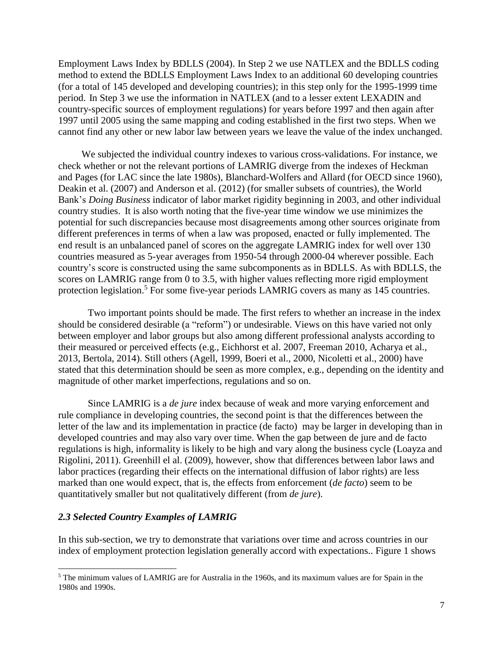Employment Laws Index by BDLLS (2004). In Step 2 we use NATLEX and the BDLLS coding method to extend the BDLLS Employment Laws Index to an additional 60 developing countries (for a total of 145 developed and developing countries); in this step only for the 1995-1999 time period. In Step 3 we use the information in NATLEX (and to a lesser extent LEXADIN and country-specific sources of employment regulations) for years before 1997 and then again after 1997 until 2005 using the same mapping and coding established in the first two steps. When we cannot find any other or new labor law between years we leave the value of the index unchanged.

We subjected the individual country indexes to various cross-validations. For instance, we check whether or not the relevant portions of LAMRIG diverge from the indexes of Heckman and Pages (for LAC since the late 1980s), Blanchard-Wolfers and Allard (for OECD since 1960), Deakin et al. (2007) and Anderson et al. (2012) (for smaller subsets of countries), the World Bank's *Doing Business* indicator of labor market rigidity beginning in 2003, and other individual country studies. It is also worth noting that the five-year time window we use minimizes the potential for such discrepancies because most disagreements among other sources originate from different preferences in terms of when a law was proposed, enacted or fully implemented. The end result is an unbalanced panel of scores on the aggregate LAMRIG index for well over 130 countries measured as 5-year averages from 1950-54 through 2000-04 wherever possible. Each country's score is constructed using the same subcomponents as in BDLLS. As with BDLLS, the scores on LAMRIG range from 0 to 3.5, with higher values reflecting more rigid employment protection legislation.<sup>5</sup> For some five-year periods LAMRIG covers as many as 145 countries.

Two important points should be made. The first refers to whether an increase in the index should be considered desirable (a "reform") or undesirable. Views on this have varied not only between employer and labor groups but also among different professional analysts according to their measured or perceived effects (e.g., Eichhorst et al. 2007, Freeman 2010, Acharya et al., 2013, Bertola, 2014). Still others (Agell, 1999, Boeri et al., 2000, Nicoletti et al., 2000) have stated that this determination should be seen as more complex, e.g., depending on the identity and magnitude of other market imperfections, regulations and so on.

Since LAMRIG is a *de jure* index because of weak and more varying enforcement and rule compliance in developing countries, the second point is that the differences between the letter of the law and its implementation in practice (de facto) may be larger in developing than in developed countries and may also vary over time. When the gap between de jure and de facto regulations is high, informality is likely to be high and vary along the business cycle (Loayza and Rigolini, 2011). Greenhill el al. (2009), however, show that differences between labor laws and labor practices (regarding their effects on the international diffusion of labor rights) are less marked than one would expect, that is, the effects from enforcement (*de facto*) seem to be quantitatively smaller but not qualitatively different (from *de jure*).

## *2.3 Selected Country Examples of LAMRIG*

 $\overline{a}$ 

In this sub-section, we try to demonstrate that variations over time and across countries in our index of employment protection legislation generally accord with expectations.. Figure 1 shows

<sup>5</sup> The minimum values of LAMRIG are for Australia in the 1960s, and its maximum values are for Spain in the 1980s and 1990s.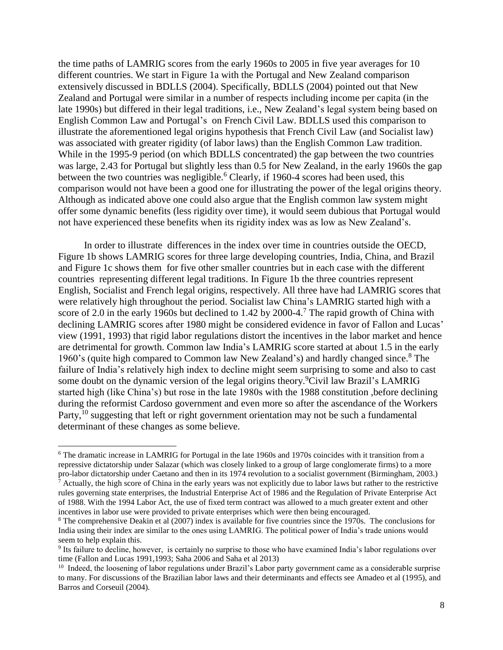the time paths of LAMRIG scores from the early 1960s to 2005 in five year averages for 10 different countries. We start in Figure 1a with the Portugal and New Zealand comparison extensively discussed in BDLLS (2004). Specifically, BDLLS (2004) pointed out that New Zealand and Portugal were similar in a number of respects including income per capita (in the late 1990s) but differed in their legal traditions, i.e., New Zealand's legal system being based on English Common Law and Portugal's on French Civil Law. BDLLS used this comparison to illustrate the aforementioned legal origins hypothesis that French Civil Law (and Socialist law) was associated with greater rigidity (of labor laws) than the English Common Law tradition. While in the 1995-9 period (on which BDLLS concentrated) the gap between the two countries was large, 2.43 for Portugal but slightly less than 0.5 for New Zealand, in the early 1960s the gap between the two countries was negligible.<sup>6</sup> Clearly, if 1960-4 scores had been used, this comparison would not have been a good one for illustrating the power of the legal origins theory. Although as indicated above one could also argue that the English common law system might offer some dynamic benefits (less rigidity over time), it would seem dubious that Portugal would not have experienced these benefits when its rigidity index was as low as New Zealand's.

In order to illustrate differences in the index over time in countries outside the OECD, Figure 1b shows LAMRIG scores for three large developing countries, India, China, and Brazil and Figure 1c shows them for five other smaller countries but in each case with the different countries representing different legal traditions. In Figure 1b the three countries represent English, Socialist and French legal origins, respectively. All three have had LAMRIG scores that were relatively high throughout the period. Socialist law China's LAMRIG started high with a score of 2.0 in the early 1960s but declined to 1.42 by 2000-4.<sup>7</sup> The rapid growth of China with declining LAMRIG scores after 1980 might be considered evidence in favor of Fallon and Lucas' view (1991, 1993) that rigid labor regulations distort the incentives in the labor market and hence are detrimental for growth. Common law India's LAMRIG score started at about 1.5 in the early 1960's (quite high compared to Common law New Zealand's) and hardly changed since. <sup>8</sup> The failure of India's relatively high index to decline might seem surprising to some and also to cast some doubt on the dynamic version of the legal origins theory.<sup>9</sup>Civil law Brazil's LAMRIG started high (like China's) but rose in the late 1980s with the 1988 constitution ,before declining during the reformist Cardoso government and even more so after the ascendance of the Workers Party,<sup>10</sup> suggesting that left or right government orientation may not be such a fundamental determinant of these changes as some believe.

l

<sup>6</sup> The dramatic increase in LAMRIG for Portugal in the late 1960s and 1970s coincides with it transition from a repressive dictatorship under Salazar (which was closely linked to a group of large conglomerate firms) to a more pro-labor dictatorship under Caetano and then in its 1974 revolution to a socialist government (Birmingham, 2003.)

 $<sup>7</sup>$  Actually, the high score of China in the early years was not explicitly due to labor laws but rather to the restrictive</sup> rules governing state enterprises, the Industrial Enterprise Act of 1986 and the Regulation of Private Enterprise Act of 1988. With the 1994 Labor Act, the use of fixed term contract was allowed to a much greater extent and other incentives in labor use were provided to private enterprises which were then being encouraged.

<sup>8</sup> The comprehensive Deakin et al (2007) index is available for five countries since the 1970s. The conclusions for India using their index are similar to the ones using LAMRIG. The political power of India's trade unions would seem to help explain this.

<sup>&</sup>lt;sup>9</sup> Its failure to decline, however, is certainly no surprise to those who have examined India's labor regulations over time (Fallon and Lucas 1991,1993; Saha 2006 and Saha et al 2013)

<sup>&</sup>lt;sup>10</sup> Indeed, the loosening of labor regulations under Brazil's Labor party government came as a considerable surprise to many. For discussions of the Brazilian labor laws and their determinants and effects see Amadeo et al (1995), and Barros and Corseuil (2004).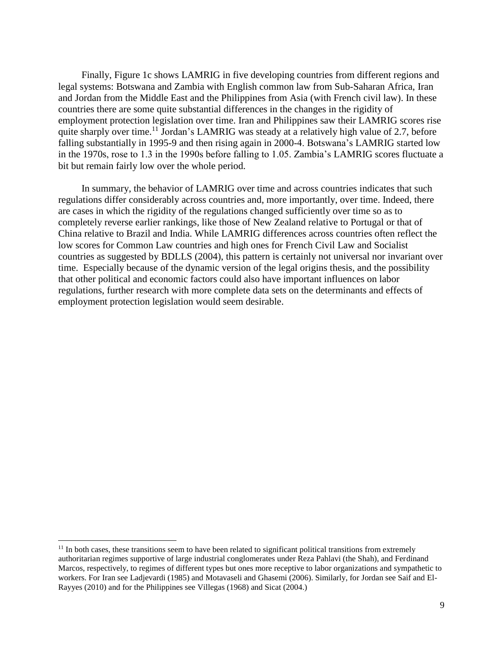Finally, Figure 1c shows LAMRIG in five developing countries from different regions and legal systems: Botswana and Zambia with English common law from Sub-Saharan Africa, Iran and Jordan from the Middle East and the Philippines from Asia (with French civil law). In these countries there are some quite substantial differences in the changes in the rigidity of employment protection legislation over time. Iran and Philippines saw their LAMRIG scores rise quite sharply over time.<sup>11</sup> Jordan's LAMRIG was steady at a relatively high value of 2.7, before falling substantially in 1995-9 and then rising again in 2000-4. Botswana's LAMRIG started low in the 1970s, rose to 1.3 in the 1990s before falling to 1.05. Zambia's LAMRIG scores fluctuate a bit but remain fairly low over the whole period.

In summary, the behavior of LAMRIG over time and across countries indicates that such regulations differ considerably across countries and, more importantly, over time. Indeed, there are cases in which the rigidity of the regulations changed sufficiently over time so as to completely reverse earlier rankings, like those of New Zealand relative to Portugal or that of China relative to Brazil and India. While LAMRIG differences across countries often reflect the low scores for Common Law countries and high ones for French Civil Law and Socialist countries as suggested by BDLLS (2004), this pattern is certainly not universal nor invariant over time. Especially because of the dynamic version of the legal origins thesis, and the possibility that other political and economic factors could also have important influences on labor regulations, further research with more complete data sets on the determinants and effects of employment protection legislation would seem desirable.

l

 $11$  In both cases, these transitions seem to have been related to significant political transitions from extremely authoritarian regimes supportive of large industrial conglomerates under Reza Pahlavi (the Shah), and Ferdinand Marcos, respectively, to regimes of different types but ones more receptive to labor organizations and sympathetic to workers. For Iran see Ladjevardi (1985) and Motavaseli and Ghasemi (2006). Similarly, for Jordan see Saif and El-Rayyes (2010) and for the Philippines see Villegas (1968) and Sicat (2004.)